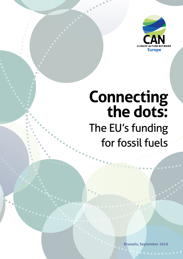

# **Connecting the dots:**  The EU's funding for fossil fuels

**Brussels, September 2016**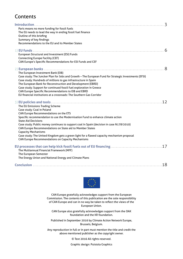## Contents

| Paris means no more funding for fossil fuels<br>The EU needs to lead the way in ending fossil fuel finance<br>Outline of this briefing<br>Summary of key findings<br>Recommendations to the EU and its Member States                                                                                                                                                                                                                                                                                                                                                    | 3   |
|-------------------------------------------------------------------------------------------------------------------------------------------------------------------------------------------------------------------------------------------------------------------------------------------------------------------------------------------------------------------------------------------------------------------------------------------------------------------------------------------------------------------------------------------------------------------------|-----|
| European Structural and Investment (ESI) Funds<br><b>Connecting Europe Facility (CEF)</b><br>CAN Europe's Specific Recommendations for ESI Funds and CEF                                                                                                                                                                                                                                                                                                                                                                                                                |     |
| The European Investment Bank (EIB)<br>Case study: The Juncker Plan for Jobs and Growth - The European Fund for Strategic Investments (EFSI)<br>Case study: Hundreds of millions to gas infrastructure in Spain<br>The European Bank for Reconstruction and Development (EBRD)<br>Case study: Support for continued fossil fuel exploration in Greece<br>CAN Europe Specific Recommendations to EIB and EBRD<br>EU financial institutions at a crossroads: The Southern Gas Corridor                                                                                     | 8   |
| The EU Emissions Trading Scheme<br>Case study: Coal in Poland<br>CAN Europe Recommendations on the ETS<br>Specific recommendation to use the Modernisation Fund to enhance climate action<br><b>State Aid Decisions</b><br>Case study: Public money continues to support coal in Spain (decision in case N178/2010)<br>CAN Europe Recommendations on State aid to Member States<br><b>Capacity Mechanisms</b><br>Case study: The United Kingdom gets a green light for a flawed capacity mechanism proposal<br><b>CAN Europe Recommendations on Capacity Mechanisms</b> | 12  |
| The Multiannual Financial Framework (MFF)<br>The European Semester<br>The Energy Union and National Energy and Climate Plans                                                                                                                                                                                                                                                                                                                                                                                                                                            | 17  |
|                                                                                                                                                                                                                                                                                                                                                                                                                                                                                                                                                                         | .18 |



CAN Europe gratefully acknowledges support from the European Commission. The contents of this publication are the sole responsibility of CAN Europe and can in no way be taken to reflect the views of the European Union.

CAN Europe also gratefully acknowledges support from the OAK foundation and the KR foundation.

Published in September 2016 by Climate Action Network Europe, Brussels, Belgium.

Any reproduction in full or in part must mention the title and credit the above mentioned publisher as the copyright owner.

© Text 2016 All rights reserved.

Graphic design: [Puistola Graphics](http://www.puistolagraphics.com)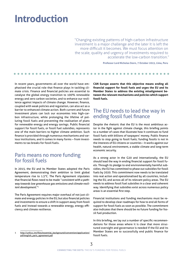## <span id="page-2-0"></span>**Introduction**

"Changing existing patterns of high-carbon infrastructure investment is a major challenge and the later it is left the more difficult it becomes. We must focus attention on the scale, quality and urgency of investments required to accelerate the low-carbon transition."

**Professor Lord Nicholas Stern, 7 October 2015, Lima, Peru**

In recent years, governments all over the world have emphasised the crucial role that finance plays in tackling climate crisis. Finance and financial policies are essential to catalyse the global energy transition to 100% renewable energy and zero carbon societies, and to enhance our resilience against impacts of climate change. However, finance, coupled with weak policies and regulation, can also act as a barrier to enhanced climate action. Both current and future investment plans can lock our economies into high-carbon infrastructure, while prolonging the lifeline of polluting fossil fuels and preventing the realisation of plans for renewable energy and energy savings. Public financial support for fossil fuels, or fossil fuel subsidies, represents one of the main barriers to higher climate ambition. Such finance is provided through numerous mechanisms and various institutions, and it comes in many forms – from investments to tax breaks for fossil fuels.

## Paris means no more funding for fossil fuels

In 2015, the EU and its Member States adopted the Paris Agreement, demonstrating their ambition to limit global temperature rise to 1.5°C. The Paris Agreement stipulates that financial flows need to be made "*consistent with a pathway towards low greenhouse gas emissions and climate-resilient development*."1

The Paris Agreement requires major overhaul of not just climate and energy policies in the EU, but also financial policies and investments to ensure a shift in support away from fossil fuels and instead towards a renewable energy, energy efficiency and climate resilience.

[http://unfccc.int/files/essential\\_background/convention/application/](http://unfccc.int/files/essential_background/convention/application/pdf/english_paris_agreement.pdf) [pdf/english\\_paris\\_agreement.pdf](http://unfccc.int/files/essential_background/convention/application/pdf/english_paris_agreement.pdf)

**CAN Europe asserts that this objective means ending all financial support for fossil fuels and urges the EU and its Member States to address the existing misalignment between the relevant mechanisms and policies which support fossil fuels.**

## The EU needs to lead the way in ending fossil fuel finance

Despite the rhetoric that the EU is the most ambitious actor in the fight against climate change, this briefing points to a number of cases that illustrate how it continues to fund fossil fuels with billions of taxpayers' money. Public finance needs to stop going to fossil fuels; funding fossils is not in the interests of EU citizens or countries – it works against our health, natural environment, a stable climate and long-term economic security.

As a strong actor in the G20 and internationally, the EU should lead the way in ending financial support for fossil fuels. Through its pledge to end environmentally harmful subsidies, the EU has committed to phase out subsidies for fossil fuels by 2020. This commitment now needs to be translated into real action and operationalised by all countries, including the EU, and across all of its relevant policy areas. The EU needs to address fossil fuel subsidies in a clear and coherent way. Identifying that subsidies exist across numerous policy areas is an essential first step.

Financial institutions and funding mechanisms must be required to develop clear roadmaps for how to end all forms of support for fossil fuels as soon as possible. The commitment also indicates that there should be no future funding for fossil fuel production.

In this briefing, we lay out a number of specific recommendations for those areas where it is clear that more structured oversight and governance is needed if the EU and its Member States are to successfully end public finance for fossil fuels.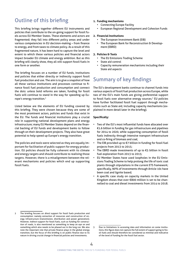## <span id="page-3-0"></span>Outline of this briefing

This briefing brings together different EU instruments and policies that contribute to the on-going support for fossil fuels across EU Member States. These elements and actors are fragmented; they fall into different policy areas and under various competencies in EU decision-making – from finance to energy, and from taxes to climate policy. As a result of this fragmented nature, it has been hard to capture the level and extent to which these various policies and financial actors impact broader EU climate and energy ambition. But as this briefing will clearly show, they all still support fossil fuels in one form or another.

The briefing focuses on a number of EU funds, institutions and policies that either directly or indirectly support fossil fuel production and use. The aim is to give a snapshot of how all these various institutions and processes continue to finance fossil fuel production and consumption and connect the dots: unless bold reforms are taken, funding for fossil fuels will continue to stand in the way for speeding up Europe's energy transition.2

Listed below are the elements of EU funding covered by this briefing. They were chosen because they are some of the most prominent actors, policies and funds that exist in the EU. The funds and financial institutions play a crucial role in supporting national development plans and energy infrastructure; many EU Member States depend on the financial backing of EU funds and development banks to follow through on their development projects. They also have great potential to help speed up Europe's energy transition.

The policies and tools were selected as they are equally important for facilitation of public support for energy production. EU policies should be fully coherent with its climate and energy targets and should contribute to realising those targets. However, there is a misalignment between the relevant mechanisms and policies which end up supporting fossil fuels.

#### **1. Funding mechanisms**

- Connecting Europe Facility
- European Regional Development and Cohesion Funds

#### **2. Financial Institutions**

- The European Investment Bank (EIB)
- The European Bank for Reconstruction & Development (EBRD)

#### **3. Policies & Tools**

- The EU Emissions Trading Scheme
- State aid control
- Capacity remuneration mechanisms including their State aid aspects

## Summary of key findings

The EU's development banks continue to channel funds into various aspects of fossil fuel production across Europe, while two of the EU's main funds are giving preferential support to fossil fuels over alternative energy sources.<sup>3</sup> EU policies have further facilitated fossil fuel support through mechanisms such as State aid, including capacity mechanisms (explained in more detail later in the briefing).

#### **Specifically:**

- Two of the EU's most influential funds have allocated over €1.6 billion in funding for gas infrastructure and pipelines for 2014 to 2020, while supporting consumption of fossil fuels indirectly through intensive transport infrastructure and co-firing of biomass and coal;
- The EIB provided up to  $E$ 7 billion in funding for fossil fuel projects from 2013 to 2015;
- The EBRD made investments of up to  $\epsilon$ 5 billion in fossil fuel exploration from 2013 to 2015;
- EU Member States have used loopholes in the EU Emissions Trading Scheme to help prolong the life of toxic coal plants through stipulations in the current ETS framework; specifically, 90% of investments through Article 10c have been coal and lignite based;
- A specific case study on capacity markets in the United Kingdom shows that over €800 million is set to be channelled to coal and diesel investments from 2014 to 2018.

<sup>2</sup> The briefing focuses on *direct* support for fossil fuels production and consumption: namely extraction of resources and construction of energy infrastructure (transmission, distribution and power generation). However, *indirect* support for fossil fuels, such as funding for construction of roads, is also mentioned as something to keep an eye on and something which also needs to be phased out in the long run. We also note the important role that private finance plays in the global energy transition, but the focus of this briefing is on public finance due to its nature in driving crucial change in financial policies and investments.

<sup>3</sup> Due to limitations in accessing data and information on some institutions, this figure does not capture the full extent of support going to fossil fuels and should therefore be considered as minimal and indicative of the level of funding for the fossil fuel sector.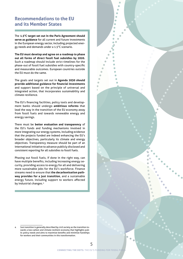### <span id="page-4-0"></span>**Recommendations to the EU and its Member States**

The **1.5°C target set out in the Paris Agreement should serve as guidance** for all current and future investments in the European energy sector, including projected energy needs and demands under a 1.5°C scenario.

**The EU must develop and agree on a roadmap to phase out all forms of direct fossil fuel subsidies by 2020.** Such a roadmap should include strict timelines for the phase-out of fossil fuel subsidies with country-specific and measurable outcomes. European countries outside the EU must do the same.

The goals and targets set out in **Agenda 2030 should provide additional guidance for financial investments** and support based on the principle of universal and integrated action, that incorporates sustainability and climate resilience.

The EU's financing facilities, policy tools and development banks should undergo **ambitious reforms** that lead the way in the transition of the EU economy away from fossil fuels and towards renewable energy and energy savings.

There must be **better evaluation and transparency** of the EU's funds and funding mechanisms involved in more integrating our energy systems, including evidence that the projects funded are indeed enhancing the EU's broader objectives, particularly its climate and energy objectives. Transparency measure should be part of an international initiative to advance publicly disclosed and consistent reporting for all subsidies to fossil fuels.

Phasing out fossil fuels, if done in the right way, can have multiple benefits, including increasing energy security, providing access to energy for all and delivering more sustainable jobs for the EU's workforce. Finance streams need to ensure that **the decarbonisation pathway provides for a just transition**, and a sustainable energy future, including support to workers affected by industrial changes.4

Just transition is generally described by civil society as the transition towards a low-carbon and climate-resilient economy that highlights public policy needs and aims to maximize benefits and minimize hardships for workers and their communities in this transformation.

٠  $\triangle$ Ċ Ċ Ò Ċ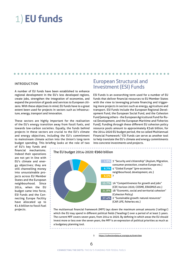## <span id="page-5-0"></span>1) **EU funds**

#### INTRODUCTION

A number of EU funds have been established to enhance regional development in the EU's less developed regions, create jobs, strengthen the integration of economies, and expand the provision of goods and services to European citizens. With these objectives in mind, EU funds have to a great extent been used for projects in sectors such as infrastructure, energy, transport and innovation.

These sectors are highly important for the realisation of the EU's energy transition away from fossil fuels, and towards low-carbon societies. Equally, the funds behind projects in these sectors are crucial to the EU's climate and energy objectives, including the EU's commitment to mainstream climate action into the Union's long-term budget spending. This briefing looks at the role of two

of EU's key funds and financial mechanisms. Indeed their operations are not yet in line with EU's climate and energy objectives; they are still channelling money into unsustainable projects across EU Member States and the European neighbourhood. Since 2014, when the EU budget came into force, ESI Funds and the Connecting Europe Facility have allocated up to €1.6 billion to fossil fuel projects.

## European Structural and Investment (ESI) Funds

ESI Funds is an overarching term used for a number of EU funds that deliver financial resources to EU Member States with the view to leveraging private financing and triggering more projects in sectors such as energy, agriculture and transport. ESI Funds include the European Regional Development Fund, the European Social Fund, and the Cohesion Fund [among others - the European Agricultural Fund for Rural Development, and the European Maritime and Fisheries Fund]. Funding through these different EU cohesion policy resource pools amount to approximately €346 billion, for the 2014-2020 EU budget period, the so called Multiannual Financial Framework.<sup>5</sup> ESI Funds can serve as another tool to help translate the EU's climate and energy commitments into concrete investments and projects.



The multiannual financial framework (MFF) lays down the maximum annual amounts ('ceilings') which the EU may spend in different political fields ('headings') over a period of at least 5 years. The current MFF covers seven years, from 2014 to 2020. By defining in which areas the EU should invest more or less over the seven years, the MFF is an expression of political priorities as much as a budgetary planning tool.

5 <https://cohesiondata.ec.europa.eu/overview>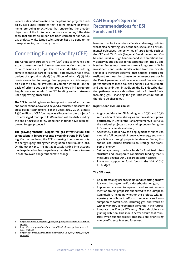<span id="page-6-0"></span>Recent data and information on the plans and projects funded by ESI Funds illustrates that a large amount of investments are going to activities that undermine the broader objectives of the EU to decarbonise its economy.6 The data show that almost €1 billion has been earmarked for natural gas projects, while large-scale support has also gone to the transport sector, particularly roads.

## Connecting Europe Facility (CEF)

The Connecting Europe Facility (CEF) aims to enhance and expand cross-border infrastructure, connections and territorial cohesion in Europe. The CEF also identifies tackling climate change as part of its overall objectives. It has a total budget of approximately €30.4 billion, of which €5.35 billion is earmarked for energy. Energy projects which are put on a list of so called 'Projects of Common Interest' (on the basis of criteria set out in the 2013 Energy Infrastructure Regulation) can benefit from CEF funding and a.o. streamlined approving procedures.

The CEF is providing favourable support to gas infrastructure and connections, above and beyond alternative measures for cross-border connections. For the years 2014-2015, almost €430 million of CEF funding was allocated to gas projects.7 It is envisaged that up to €800 million will be disbursed by the end of 2016; so far €210 million in funds have been approved for gas projects.<sup>8</sup>

**The growing financial support for gas infrastructure and connections in Europe presents a worrying trend in EU funding.** On the one hand, the CEF is seeking to ensure security of energy supply, strengthen integration, and stimulate jobs. On the other hand, it is not adequately taking into account the deep decarbonisation pathway that the EU needs to take in order to avoid dangerous climate change.

## **CAN Europe's Specific Recommendations for ESI Funds and CEF**

In order to unlock ambitious climate and energy policies whilst also achieving key economic, social and environmental objectives, the activities of large funds such as the CEF and ESI Funds (Regional Development and Cohesion Funds) must go hand-in-hand with ambitious and visionary public policies for decarbonisation. The EU and Member States must seek to make a long-term shift in investments and incite similar action from the private sector. It is therefore essential that national policies are realigned to meet the climate commitments set out in the Paris Agreement, and the allocation of financial support is subject to those policies and their overall climate and energy ambition. In addition, the EU's decarbonisation pathway means a short-lived future for fossil fuels, including gas. Financing for gas infrastructure should therefore be phased out.

#### **In particular, ESI Funds must:**

- Align conditions for EU funding with 2030 and 2050 zero carbon climate strategies and investment plans, particularly in light of the Paris Agreement. It is crucial the national projects do not end up undermining the EU's overall climate ambition;
- Adequately assess how the deployment of funds can meet the full potential of renewable energy and energy efficiency through projects in Member States; this should also include transmission, storage and transport of energy;
- Set out a pathway to reduce funds for fossil fuel infrastructure and incorporate conditional funding that is measured against 2050 decarbonisation targets;
- Phase out support for fossil fuels in the 2021-2027 EU budget.

#### **The CEF must:**

- Be subject to regular checks-ups and reporting on how it is contributing to the EU's decarbonisation goal;
- Implement a more transparent and robust assessment of project proposals submitted to the European Commission, including whether the projects will adequately contribute to efforts to reduce overall consumption of fossil fuels, including gas, and which fit with low energy consumption demands in the future;
- Integrate the Energy Efficiency First principle as a guiding criterion. This should better ensure that countries which submit project proposals are prioritising energy efficiency first and foremost.

<sup>6</sup> [http://ec.europa.eu/regional\\_policy/en/policy/evaluations/data-for-re](http://ec.europa.eu/regional_policy/en/policy/evaluations/data-for-research/)[search/](http://ec.europa.eu/regional_policy/en/policy/evaluations/data-for-research/)

[https://ec.europa.eu/inea/sites/inea/files/cef\\_energy\\_brochure\\_-\\_2\\_](https://ec.europa.eu/inea/sites/inea/files/cef_energy_brochure_-_2_june_final.pdf) [june\\_final.pdf](https://ec.europa.eu/inea/sites/inea/files/cef_energy_brochure_-_2_june_final.pdf)

<sup>8</sup> [https://ec.europa.eu/inea/sites/inea/files/2016-1\\_cef\\_energy\\_call\\_re](https://ec.europa.eu/inea/sites/inea/files/2016-1_cef_energy_call_results.pdf)[sults.pdf](https://ec.europa.eu/inea/sites/inea/files/2016-1_cef_energy_call_results.pdf)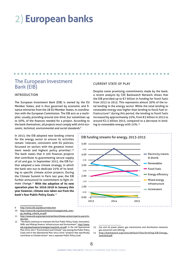## <span id="page-7-0"></span>2) **European banks**

### The European Investment Bank (EIB)

#### INTRODUCTION

The European Investment Bank (EIB) is owned by the EU Member States, and is thus governed by economic and finance ministries from the 28 EU Member States, in coordination with the European Commission. The EIB acts as a multiplier, usually providing around one third, but sometimes up to 50%, of the finances needed for a project. According to the bank themselves, *all projects must comply with strict economic, technical, environmental and social standards*. 9

In 2013, the EIB adopted new lending criteria for the energy sector to ensure its activities remain 'relevant, consistent with EU policies; focussed on sectors with the greatest investment needs and highest policy priorities'.10 The bank states that it still finances projects that contribute to guaranteeing secure supply of oil and gas. In September 2015, the EIB further adopted a new climate strategy, in which the bank sets out to dedicate 25% of its lending to specific climate action projects. During the Climate Summit in Paris last year, the EIB further announced its commitment to fight climate change.11 **With the adoption of its new operation plan for 2016-2018 in January this year however, climate was taken out from the bank's four Public Policy Goals.**<sup>12</sup>

#### CURRENT STATE OF PLAY

Despite some promising commitments made by the bank, a recent analysis by CEE Bankwatch Network shows that the EIB provided up to €7 billion in funding for fossil fuels from 2013 to 2015. This represents almost 30% of the total lending in the energy sector. While the total lending to renewable energy was higher than lending to fossil fuel infrastructure<sup>13</sup> during this period, the lending to fossil fuels increased by approximately 25%, from €2 billion in 2013 to around €2.5 billion 2015, compared to a decrease in lending to renewable energy with 21%.<sup>14</sup>



9 <http://www.eib.org/about/index.htm>

- 10 [http://www.eib.org/attachments/strategies/eib\\_ener](http://www.eib.org/attachments/strategies/eib_energy_lending_criteria_en.pdf)[gy\\_lending\\_criteria\\_en.pdf](http://www.eib.org/attachments/strategies/eib_energy_lending_criteria_en.pdf)
- 11 [http://www.eib.org/projects/priorities/climate-action/road-to-paris/in](http://www.eib.org/projects/priorities/climate-action/road-to-paris/index.htm)-
- [dex.htm](http://www.eib.org/projects/priorities/climate-action/road-to-paris/index.htm) 12 "The Bank continues to maintain the four Public Policy Goals: Innovation; SMEs and Midcap finance; Infrastructure and Environment", [http://www.](http://www.eib.org/attachments/strategies/cop2016_en.pdf) [eib.org/attachments/strategies/cop2016\\_en.pdf](http://www.eib.org/attachments/strategies/cop2016_en.pdf). In the old Operational Plan 2015-2017 "Environment and Climate" was among the Public Policy Goals and in the Operational Plan 2014-2016 "projects that specifically contribute to Climate Action" was a separate Public Policy Goal

13 Gas and oil power plants, gas transmission and distribution networks, gas extraction and refining.

14 [http://bankwatch.org/sites/default/files/briefing-EIB-Energy\\_](http://bankwatch.org/sites/default/files/briefing-EIB-Energy_June2016.pdf) [June2016.pdf](http://bankwatch.org/sites/default/files/briefing-EIB-Energy_June2016.pdf)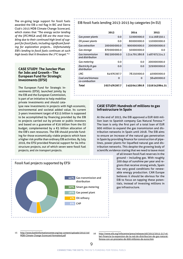<span id="page-8-0"></span>The on-going large support for fossil fuels awarded the EIB a red flag in BIC and Sierra Club's 2015 MDB Climate Change Scorecard, which states that *"The energy sector lending of the [IFC/MIGA and] EIB are the most troubling due to their continued high level of support for fossil fuels, including significant funding for exploration projects... Unfortunately EIB's lending to fossil fuels continues at such high levels that it threatens the 2ºC target."15*

#### **CASE STUDY: The Juncker Plan for Jobs and Growth – The European Fund for Strategic Investments (EFSI)**

The European Fund for Strategic Investments (EFSI), launched jointly by the EIB and the European Commission, is part of an initiative to help mobilise private investments and should cata-

lyse new investments in projects with high economic, environmental and societal added value. Its current 3-years investment target of €315 billion is supposed to be accomplished by financing provided by the EIB to projects carried out by private or public investors and based on a guarantee of €16 billion from the EU budget, complemented by a €5 billion allocation of the EIB's own resources. The EIB should provide funding for those economically viable projects which have a higher risk profile than ordinary EIB activities. By July 2016, the EFSI provided financial support for 94 infrastructure projects, out of which seven were fossil fuel projects, and six transport projects.



|                                             | 2013         | 2014         | 2015          |
|---------------------------------------------|--------------|--------------|---------------|
| Gas power plants                            | 0.0          | 32000000.0   | 114168550.1   |
| Oil power plants                            | 0.0          | 80000000.0   | 110000000.0   |
| Gas extraction                              | 200000000.0  | 900000000.0  | 200000000.0   |
| Gas storage                                 | 870000000.0  | 50000000.0   | 0.0           |
| <b>Gas transmission</b><br>and distribution | 892500000.0  | 1314791280.8 | 1487675314.2  |
| Gas metering                                | 0.O          | 0.0          | 200000000.0   |
| Electricity & gas<br>distribution           | 0.0          | 0.0          | 329000000.0   |
| LNG.                                        | 64976397.7   | 78250000.0   | 40000000.0    |
| Coal and biomass<br>co-combustion           | O            | O            | 38400000.0    |
| Total                                       | 2027476397.7 | 2455041280.8 | 2519243864.21 |

#### **CASE STUDY: Hundreds of millions to gas infrastructure in Spain**

At the end of 2015, the EIB approved a EUR 600 million loan to Spanish company Gas Natural Fenosa.<sup>16</sup> The loan is only the first part of a total loan of EUR 900 million to expand the gas transmission and distribution networks in Spain until 2018. The EIB aims to ensure an increase of the natural gas penetration in Spain by providing finance for construction of pipelines, power plants for liquefied natural gas and distribution networks. This despite the growing body of scientific evidence stating that we need to leave most



of all known fossil fuel reserves in the ground – including gas. With roughly 300 days of sunshine per year and regions that receive strong winds, Spain has very good conditions for renewable energy production. CAN Europe believes it should be obvious for the EIB to focus on tapping these potentials, instead of investing millions in gas infrastructure.

15 [http://www.bankinformationcenter.org/wp-content/uploads/2015/10/](http://www.bankinformationcenter.org/wp-content/uploads/2015/10/MDB-Climate-Change-Scorecard-formatted.pdf) [MDB-Climate-Change-Scorecard-formatted.pdf](http://www.bankinformationcenter.org/wp-content/uploads/2015/10/MDB-Climate-Change-Scorecard-formatted.pdf)

16 [http://www.eib.org/infocentre/press/releases/all/2015/2015-317-el](http://www.eib.org/infocentre/press/releases/all/2015/2015-317-el-bei-financia-la-expansion-de-la-red-de-distribucion-de-gas-natural-fenosa-con-un-prestamo-de-600-millones-de-euros.htm)[bei-financia-la-expansion-de-la-red-de-distribucion-de-gas-natural](http://www.eib.org/infocentre/press/releases/all/2015/2015-317-el-bei-financia-la-expansion-de-la-red-de-distribucion-de-gas-natural-fenosa-con-un-prestamo-de-600-millones-de-euros.htm)[fenosa-con-un-prestamo-de-600-millones-de-euros.htm](http://www.eib.org/infocentre/press/releases/all/2015/2015-317-el-bei-financia-la-expansion-de-la-red-de-distribucion-de-gas-natural-fenosa-con-un-prestamo-de-600-millones-de-euros.htm)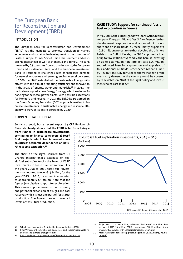## <span id="page-9-0"></span>The European Bank for Reconstruction and Development (EBRD)

#### INTRODUCTION

The European Bank for Reconstruction and Development (EBRD) has the mandate to promote transition to market economies and sustainable development in the countries of Eastern Europe, former Soviet Union, the southern and eastern Mediterranean as well as Mongolia and Turkey. The bank is owned by 65 countries from across the world, the European Union and its Member States and the European Investment Bank. To respond to challenges such as increased demand for natural resources and growing environmental concerns, in 2006 the EBRD established the Sustainable Energy Initiative<sup>17</sup> with the aim of promoting efficiency and innovation in the areas of energy, water and materials.<sup>18</sup> In 2013, the bank also adopted a new Energy Strategy which excludes financing for new coal power plants, with possible exceptions for Mongolia and Kosovo. In 2015 the EBRD Board agreed on the Green Economy Transition (GET) approach seeking to increase investments in sustainable energy and resource efficiency to 40% of its entire portfolio by 2020.

#### CURRENT STATE OF PLAY

#### So far so good, but **a recent report by CEE Bankwatch Network clearly shows that the EBRD is far from being a**

**front-runner in sustainable investments, continuing to finance controversial fossil fuel projects which has increased some countries' economic dependence on natural resource extraction**. 19

The chart on the right, sourced from Oil Change International's database on fossil fuel subsidies tracks the level of EBRD investments in fossil fuel *exploration*. For the years 2008 to 2015 fossil fuel investments amounted to over €15 billion; for the years 2013 to 2015, investments amounted to approximately €5 billion. Note that the figures just display support for exploration. This means support towards the discovery and potential expansion of oil, gas and coal reserves which is just one part of fossil fuel production. The figure does not cover all levels of fossil fuel production.

#### **CASE STUDY: Support for continued fossil fuel exploration in Greece**

In May 2016, the EBRD signed two loans with Greek oil company Energean Oil and Gas S.A to finance further development, exploration and appraisal of its onshore and offshore fields in Greece. Firstly, as part of a ~€180 million project to further develop the offshore fields in the Gulf of Kavala, the EBRD approved a loan of up to €67 million.<sup>20</sup> Secondly, the bank is investing an up to €18 million (total project cost €45 million) subordinated loan for exploration and appraisal of four additional oil fields. Greenpeace Greece's Energy Revolution study for Greece shows that half of the electricity demand in the country could be covered by renewables in 2020, if the right policy and investment choices are made.<sup>21</sup>



17 Which later became the Sustainable Resource Initiative (SRI)

20 Project cost 1 USD200 million, EBRD contribution USD 75 million, Project cost 2 USD 50 million, EBRD contribution USD 20 million [http://](http://www.ebrd.com/work-with-us/projects/psd/energean.html) [www.ebrd.com/work-with-us/projects/psd/energean.html](http://www.ebrd.com/work-with-us/projects/psd/energean.html)

21 [http://www.greenpeace.org/greece/PageFiles/98261/energy-revolu](http://www.greenpeace.org/greece/PageFiles/98261/energy-revolution.pdf)[tion.pdf](http://www.greenpeace.org/greece/PageFiles/98261/energy-revolution.pdf)

<sup>18</sup> [http://www.ebrd.com/what-we-do/sectors-and-topics/sustainable-re](http://www.ebrd.com/what-we-do/sectors-and-topics/sustainable-resources-and-climate-change/sri.html)[sources-and-climate-change/sri.html](http://www.ebrd.com/what-we-do/sectors-and-topics/sustainable-resources-and-climate-change/sri.html)

<sup>19</sup> <http://bankwatch.org/sites/default/files/lost-in-transition.pdf>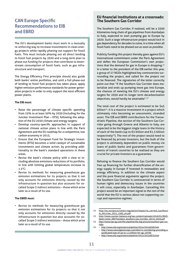## <span id="page-10-0"></span>**CAN Europe Specific Recommendations to EIB and EBRD**

The EU's development banks must work in a mutually re-enforcing way to increase investments in clean energy projects while rapidly phasing out support for fossil fuels. This must include phasing out all direct lending to fossil fuel projects by 2020 and a long-term plan to phase out funding for projects that contribute to downstream consumption of fossil fuels, such as gas infrastructure and transport;

The Energy Efficiency First principle should also guide both banks' entire portfolios, and until a full phase-out of lending to fossil fuel projects has taken place, apply higher emission performance standards for power generation projects in order to only support the most efficient power plants.

#### **The EIB must:**

- Raise the percentage of climate specific spending from 25% to at least 50% by 2030 (including for the Juncker Investment Plan – EFSI), following the adoption of the EU 2030 climate and energy targets;
- Develop country-specific approaches in support of national climate action plans in line with the Paris Agreement and the EU roadmap for a competitive, low carbon economy in 2015;
- Ensure that the European Fund for Strategic Investments (EFSI) becomes a solid catalyst of sustainable investments and climate action, by providing additionality to the bank's standard operations in these areas;
- Revise the bank's climate policy with a view to including absolute emissions reductions of its portfolio, in line with limiting global temperature increase to 1.5°C;
- Revise its methods for measuring greenhouse gas emission estimations for its projects so that it not only accounts for emissions directly caused by the infrastructure in question but also accounts for socalled Scope 3 indirect emissions – those which arise later as a result of its use.

#### **The EBRD must:**

Revise its methods for measuring greenhouse gas emission estimations for its projects so that it not only accounts for emissions directly caused by the infrastructure in question but also accounts for socalled Scope 3 indirect emissions – those which arise later as a result of its use.

#### **EU financial institutions at a crossroads: The Southern Gas Corridor**

The Southern Gas Corridor, if realized, will be a 3500 kilometres-long chain of gas pipelines from Azerbaijan to Italy, expected to start pumping gas to Europe by 2020. Such a large infrastructure project would lock in gas dependency for decades to come, in a time when all fossil fuels need to be phased out as soon as possible.

Publicly funding this project thereby goes against EU's international commitment under the Paris Agreement and defies the European Commission's own projections that the demand for gas in Europe is dropping.<sup>22</sup> In a letter to the president of the EIB earlier this year, a group of 27 NGOs highlighted key controversies surrounding the project, and called for the project not to be financed. The signatories of the letter correctly point out that "if the Southern Gas Corridor does materialize and ends up pumping more gas into Europe, the chances of meeting the EU's climate and energy targets for 2030 and its longer term decarbonisation objectives, would hardly be attainable".<sup>23</sup>

The total cost of the project is estimated to be \$45 billion<sup>24</sup>. It is a massive investment in a project which ultimately risks becoming an uneconomic, stranded asset. The EIB and EBRD contributions for the Transadriatic Pipeline, the section of the Southern Gas Corridor going through Greece and Albania to Italy, are expected to be the biggest single loans in the history of each of the banks (up to €3 billion and €1.5 billion respectively<sup>25</sup>). The rest of the project would need to be financed by private investors, but the bulk of the project is ultimately dependent on public money via loans of public banks and guarantees from governments of transit countries to be realized as they are crucial for private investors as a guarantee.

Refusing to finance the Southern Gas Corridor would free up financing for further diversification of the energy supply in Europe if invested in renewables and energy efficiency. In addition to the climate aspect and the pure financial arguments against the project, the Southern Gas Corridor is controversial in terms of human rights and democracy issues in the countries it will cross, especially in Azerbaijan. Cancelling this project would be an important signal to the rest of the world that the EU is serious about not supporting corrupt and repressive regimes.

<sup>22</sup> [http://ec.europa.eu/smart-regulation/impact/ia\\_carried\\_out/docs/](http://ec.europa.eu/smart-regulation/impact/ia_carried_out/docs/ia_2011/sec_2011_1565_en.pdf) [ia\\_2011/sec\\_2011\\_1565\\_en.pdf](http://ec.europa.eu/smart-regulation/impact/ia_carried_out/docs/ia_2011/sec_2011_1565_en.pdf)

<sup>23</sup> [http://www.counter-balance.org/wp-content/uploads/2016/01/NGO-](http://www.counter-balance.org/wp-content/uploads/2016/01/NGO-Open-Letter_EIB-President_Southern-Gas-Corridor_28-01-2016.pdf)[Open-Letter\\_EIB-President\\_Southern-Gas-Corridor\\_28-01-2016.pdf](http://www.counter-balance.org/wp-content/uploads/2016/01/NGO-Open-Letter_EIB-President_Southern-Gas-Corridor_28-01-2016.pdf)

<sup>24</sup> [http://www.tap-ag.com/the-pipeline/the-big-picture/southern-gas-cor](http://www.tap-ag.com/the-pipeline/the-big-picture/southern-gas-corridor)[ridor](http://www.tap-ag.com/the-pipeline/the-big-picture/southern-gas-corridor)

<sup>25</sup> – <http://www.eib.org/projects/pipeline/2014/20140596.htm> – [http://www.naturalgaseurope.com/ebrd-is-considering-providing-a](http://www.naturalgaseurope.com/ebrd-is-considering-providing-a-syndicated-loan-of-up-to-1.5-billion-for-sgc-29795)[syndicated-loan-of-up-to-1.5-billion-for-sgc-29795](http://www.naturalgaseurope.com/ebrd-is-considering-providing-a-syndicated-loan-of-up-to-1.5-billion-for-sgc-29795)

<sup>–</sup> http://www.eib.org/projects/pipeline/2015/20150676.htm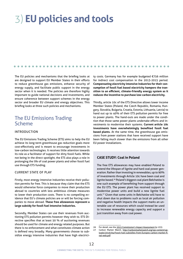## <span id="page-11-0"></span>3) **EU policies and tools**

The EU policies and mechanisms that the briefing looks at are designed to support EU Member States in their efforts to reduce greenhouse gas emissions, enhance security of energy supply, and facilitate public support in the energy sector when it is needed. The policies are therefore highly important to guide national decisions and investments, and ensure coherence between support schemes in the energy sector and broader EU climate and energy objectives. This briefing looks at three such policies and mechanisms.

 $\bullet$   $\bullet$  $\blacksquare$  $\sim$ 

## The EU Emissions Trading Scheme

#### INTRODUCTION

The EU Emissions Trading Scheme (ETS) aims to help the EU achieve its long-term greenhouse gas reduction goals more cost-effectively and is meant to encourage investments in low-carbon technologies. It receives little attention towards its role as a facilitator of support for dirty fossil fuels. While not being in the direct spotlight, the ETS also plays a role in prolonging the life of coal power plants and other fossil fuel use through ETS funding.

#### CURRENT STATE OF PLAY

Firstly, most energy intensive industries receive their pollution permits for free. This is because they claim that the ETS would otherwise force companies to move their production abroad to countries with less ambitious climate measures to lower their production costs. There is no compelling evidence that EU's climate policies are or will be forcing companies to move abroad. **These free allowances represent a large subsidy for fossil fuel intensive industries.**

Secondly, Member States can use their revenues from auctioning ETS pollution permits however they wish to. ETS Directive specifies that at least 50 % of auctioning revenues should be used for climate and energy related purposes. But there is no enforcement and what constitutes climate action is defined very broadly. Many governments choose to subsidize energy intensive industries that have high electricity costs. Germany has for example budgeted €756 million for indirect cost compensation in the 2013-2015 period. **Compensating electricity intensive industries for their consumption of fossil fuel based electricity hampers the transition to an efficient, climate-friendly energy system as it reduces the incentive to purchase low-carbon electricity.** 

Thirdly, article 10c of the ETS Directive allows lower income Member States (Poland, the Czech Republic, Romania, Hungary, Slovakia, Bulgaria, Croatia, Estonia, Lithuania, Latvia) to hand out up to 40% of their ETS pollution permits for free to power plants. The hand-outs are made under the condition that those same power plants undertake efforts and investments to modernise their systems. **Current article 10c investments have overwhelmingly benefited fossil fuel based plants.** At the same time, the greenhouse gas emissions from power stations that have received support have been falling much slower than the emissions from all other EU power installations.

#### **CASE STUDY: Coal in Poland**

The free ETS allowances may have enabled Poland to extend the lifespan of lignite and hard coal power generation. Rather than investing in renewables, up to 90% of investments through Article 10c have been coal and lignite based.26 Poland's biggest coal plant Bełchatów is one such example of benefitting from support through the EU ETS. The power plant has received support to modernise power units and build a new lignite fuel unit.27 Given that some units in Bełchatów will have to shut down due to problems such as local air pollution and negative health impacts the support marks an untenable use of resources which could instead be used to increase renewable energy capacity and support a just transition away from coal power.

<sup>26</sup> For detail, see the [2015 Commission's Impact Assessment](http://ec.europa.eu/clima/policies/ets/revision/docs/impact_assessment_en.pdf) (p.133).

<sup>27</sup> Carbon Market Watch, [http://carbonmarketwatch.org/wp-content/up](http://carbonmarketwatch.org/wp-content/uploads/2016/04/Fossil-fuel-subsidies-from-Europes-carbon-market-final-web.pdf)[loads/2016/04/Fossil-fuel-subsidies-from-Europes-carbon-market-fi](http://carbonmarketwatch.org/wp-content/uploads/2016/04/Fossil-fuel-subsidies-from-Europes-carbon-market-final-web.pdf)[nal-web.pdf](http://carbonmarketwatch.org/wp-content/uploads/2016/04/Fossil-fuel-subsidies-from-Europes-carbon-market-final-web.pdf)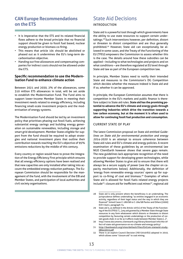## <span id="page-12-0"></span>**CAN Europe Recommendations on the ETS**

- It is imperative that the ETS and its related financial flows adhere to the broad principle that no financial support should be given to fossil fuel based, nuclear energy production or biomass co-firing.
- This means that article 10c should be abolished or phased out as it undermines the EU's long-term decarbonisation objective.
- Handing out free allowances and compensating companies for indirect costs should not be allowed under the ETS.

#### **Specific recommendation to use the Modernisation Fund to enhance climate action**

Between 2021 and 2030, 2% of the allowances, some 310 million ETS allowances in total, will be set aside to establish the Modernisation Fund. The Fund aims to support lower-income Member States in meeting their investment needs related to energy efficiency, including financing small-scale investment projects and the modernisation of energy systems.

The Modernisation Fund should be led by an investment policy that prioritises phasing out fossil fuels, achieving substantial energy savings and building energy generation on sustainable renewables, including storage and smart grid development. Member States eligible for support from the fund should be required to adopt strategies and national investment plans that outline their contribution towards reaching the EU's objective of 95% emissions reductions by the middle of this century.

Every country or region would have to prove the integration of the Energy Efficiency First principle which ensures that all energy efficiency options have been realised and that new capacities are only installed after taking into account the embedded energy reduction pathways. The European Commission should be responsible for the management of the fund, with the involvement of the EIB and Member States, and participation of local authorities and civil society organisations.

## State Aid Decisions INTRODUCTION

State aid is a powerful tool through which governments have the ability to use state resources to support certain undertakings.28 Such interventions however, per definition, distort or threaten to distort competition and are thus generally prohibited.29 However, State aid can exceptionally be allowed in some cases, and the Treaty of the Functioning of the EU (TFEU) empowers the Commission to assess whether this is the case. The details around how these subsidies can be applied – including to what technologies and projects and on what conditions – are therefore regulated at EU level through State aid law as part of the European competition law.

In principle, Member States need to notify their intended State aid measures to the Commission's DG Competition which decides whether the measure indeed is State aid and if so, whether it can be approved.

In principle, the European Commission assumes that there is competition in the EU's markets and public finance is therefore subject to State aid rules. **State aid has the promising potential to advance the EU's climate and energy goals through supporting industries which drive the transition towards a low carbon economy, but at the moment it is often used to allow for continuing fossil fuel production and consumption.**

#### CURRENT STATE OF PLAY

The latest Commission proposal on State aid entitled *Guidelines on State aid for environmental protection and energy 2014-2020* is an attempt to ensure coherence between State aid rules and EU's climate and energy policies. A recent examination of these guidelines by an environmental law NGO ClientEarth however shows that severe gaps remain. The new guidelines lack appropriate recognition of the need to provide support for developing green technologies, while allowing Member States to give aid to ensure that there will always be a secure supply of power (see the chapter on capacity mechanisms below). Additionally, the definition of 'energy from renewable energy sources' opens up for support to co-firing of coal and biomass.<sup>30</sup> Examples of when State aid is allowed for fossil fuels related energy projects include<sup>31</sup>: closure aid for inefficient coal mines<sup>32</sup>, regional aid

<sup>28</sup> State aid is only present where the beneficiary is an undertaking. The jurisprudence defines undertaking "as entities engaged in an economic activity, regardless of their legal status and the way in which they are financed" Joined Cases C-180/98 to C-184/98 Pavlov and Others [2000] ECR I-6451, paragraph 74.

<sup>29</sup> State aid is, as defined in the Article 107(1) of the Treaty of the Functioning of the EU (TFEU) "[…] any aid granted by a Member State through State resources in any form whatsoever which distorts or threatens to distort competition by favouring certain undertakings or the production of certain goods shall, in so far as it affects trade between Member States […]".

<sup>30</sup> http://www.documents.clientearth.org/library/download-info/the-effect-of-state-aid-governance-on-eu-climate-and-energy-policy/

<sup>31</sup> [http://bankwatch.org/sites/default/files/EnCom-stateaid-study-](http://bankwatch.org/sites/default/files/EnCom-stateaid-study-08Jun2015.pdf)[08Jun2015.pdf](http://bankwatch.org/sites/default/files/EnCom-stateaid-study-08Jun2015.pdf)

<sup>32</sup> There is an explicit Council Decision (787/2010/EU) adopted in 2010, which allows some "closure aid" to coal mining.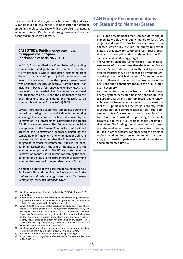<span id="page-13-0"></span>for investments and new jobs which theoretically and legally can be given to coal mines<sup>33</sup>, compensation for stranded assets in the electricity sector<sup>34</sup>, if the service is of general economic interest (SGEI)<sup>35</sup>, and through rescue and restructuring aid in the energy sector $36$ .

#### **CASE STUDY: Public money continues to support coal in Spain (decision in case N178/2010)**

In 2010, Spain notified the Commission of providing compensation and preferential dispatch to ten electricity producers whose production originated from domestic hard coal of up to 15% of the domestic demand. The argument from the Spanish government was enhanced security of supply. It argued that – for instance – backup for renewable energy electricity production was needed. The Commission confirmed the presence of an SGEI and the compliance with the 15% threshold and considered the measure to be compatible aid under Article 106(2) TFEU.

Several third parties submitted complaints during the procedure, stating that it would indirectly be granting advantage to coal mines – which was dismissed by the Commission – risk environmental protection and breach EU climate commitments. The Commission's decision was appealed to the General Court (GC)<sup>37</sup>, but the Court accepted the Commission's approach. Regarding the complaint on infringement of environment and climate policies, the GC confirmed that the Commission is not obliged to consider environmental rules in the compatibility assessment if the aim of the measure is not environmental protection. The GC also stated that the Commission cannot use its powers concerning the compatibility of a State aid measure in order to determine whether the measure infringes other parts of EU law.

A detailed outline of this case can be found in the CEE Bankwatch Network publication *State aid rules in the coal sector and linked energy sector under the Energy Community Treaty and European Law*<sup>38</sup>.

- 33 Guidelines on regional State aid for 2014-2020 Official Journal C 209/1 23.7.2013.
- 34 Commission Communication relating to the methodology for analysing State aid linked to stranded costs. Adopted by the Commission on 26.07.2001 not published in the Official Journal.
- 35 Article 106(2) TFEU states that support may be given to services of special characteristics on the market. As regards the electricity sector, Article 15(4) of the current Directive 2009/72/EC stipulates that "A Member State may, for reasons of security of supply, direct that priority be given to the dispatch of generating installations using indigenous primary energy fuel sources, to an extent not exceeding, in any calendar year, 15% of the overall primary energy necessary to produce the electricity consumed in the Member State concerned."
- 36 Guidelines on State aid for rescuing and restructuring non-financial undertakings in difficulty, Official Journal C 249/1, 31.07.2014.
- 37 Castelnou Energía, an electricity producer using natural gas.
- 38 [http://bankwatch.org/sites/default/files/EnCom-stateaid-study-](http://bankwatch.org/sites/default/files/EnCom-stateaid-study-08Jun2015.pdf)[08Jun2015.pdf](http://bankwatch.org/sites/default/files/EnCom-stateaid-study-08Jun2015.pdf)

## **CAN Europe Recommendations on State aid to Member States**

- CAN Europe recommends that Member States should immediately quit giving public money to fossil fuel projects and new EU rules for State aid need to be adopted which fully exclude the ability to provide State aid that allow for continuing fossil fuel production and consumption, thus undermining the EU's overall climate and energy targets.
- The Commission needs further to be stricter in its assessments of the measures that the Member States send in. Since State aid is actually paid by citizens, greater transparency also needs to be given throughout the process, which allow for NGOs and other actors to follow and comment on the progression of the decisions and to challenge them in the public interest if necessary.
- As countries transition away from a fossil fuels based energy system, dedicated financing should be used to support a just transition from fossil fuel to renewable energy based energy systems. It Is essential that this support reaches the workers directly, while it should not be a compensation to fossil fuel companies' profits. Governments should invest in a "just transition fund", instead of approving for example closure aid to fossil fuel companies for uncompetitive mines. The funding should be earmarked to support the workers in those industries in transitioning to jobs in other sectors. Together with the affected regions, workers, local governments and trade unions, just transition pathways should be developed and implemented timely.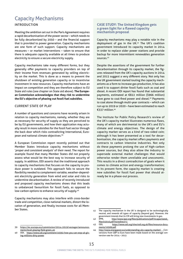### <span id="page-14-0"></span>Capacity Mechanisms INTRODUCTION

Meeting the ambition set out in the Paris Agreement requires a rapid decarbonisation of the power sector – which needs to be fully decarbonized by 2050 – and the financial support that is provided to power generation. Capacity mechanisms are one form of such support. Capacity mechanisms are measures – or market interventions – taken to ensure that there is adequate capacity available at all times to produce electricity to ensure a secure electricity supply.

Capacity mechanisms take many different forms, but they generally offer payments to capacity providers on top of their income from revenues generated by selling electricity on the market. This is done as a means to prevent the shutdown of existing generation capacity or to incentivise investment in new resources. Capacity mechanisms have an impact on competition and they are therefore subject to EU State aid rules (see chapter on State aid above). **The European Commission acknowledges that they risk to undermine the EU's objective of phasing out fossil fuel subsidies.**

#### CURRENT STATE OF PLAY

A number of questions and concerns have recently arisen in relation to capacity mechanisms, namely, whether they are as necessary for security of supply as they are perceived to be by EU governments, and how their application may actually result in more subsidies for the fossil fuel sector through the back door which risks contradicting international, European and national climate objectives.39

A European Commission report recently pointed out that Member States introduce capacity mechanisms without '*proper and consistent analysis*' of their need. The report for example found that many Member States did not properly assess what would be the best way to increase security of supply. In addition, ODI asserts that the traditional approach to capacity mechanisms that focuses on the capacity to produce power is outdated. This approach fails to secure the flexibility needed to complement variable, weather-dependent electricity generation from wind and solar and risks to undermine decarbonisation. A review of recently introduced and proposed capacity mechanisms shows that this leads to unbalanced favouritism for fossil fuels, as opposed to low-carbon options to enhance security of supply.40

Capacity mechanisms may also interfere with cross-border trade and competition, close national markets, distort the location of generation, and finally increase costs for all Member States.

#### **CASE STUDY: The United Kingdom gets a green light for a flawed capacity mechanism proposal**

Capacity mechanisms may play a notable role in the deployment of gas in the UK.<sup>41</sup> The UK's coalition government introduced its capacity market in 2014 in order to replace older power stations and provide backup for more intermittent renewables generation sources.42

Despite the assertions of the government for further decarbonisation through its capacity market, the figures released from the UK's capacity auctions in 2014 and 2015 suggest a very different story. Not only has the UK government started touting the capacity mechanisms as a form to increase gas production, it has also used it to support dirtier fossil fuels such as coal and diesel. A recent ODI report has found that substantial payments, estimated at €822 million (\$966 million) have gone to coal-fired power and diesel.<sup>43</sup> Payments to coal alone through multi-year contracts – which can run up to 2019 or 2020 – have been estimated to reach €337 million.<sup>44</sup>

The Institute for Public Policy Research's review of the UK's capacity market illustrates numerous flaws, many of which are detrimental to the UK's and EU's climate and energy objectives. The design of the capacity market serves as a kind of two-sided coin; although it has been presented as a tool for decarbonisation, the capacity market offers payments and contracts to carbon intensive industries. Not only do these payments prolong the use of high-carbon power sources, but they also allow the industry to supersede external market challenges that would otherwise render them unreliable and uneconomic. This results in a direct contradiction of goals when it comes to climate action and energy transformation; in its present form, the capacity market is creating new subsidies for fossil fuel power that should already be in a phase-out process.

<sup>39</sup> [https://ec.europa.eu/commission/2014-2019/vestager/announce](https://ec.europa.eu/commission/2014-2019/vestager/announcements/level-playing-field-green_en)[ments/level-playing-field-green\\_en](https://ec.europa.eu/commission/2014-2019/vestager/announcements/level-playing-field-green_en)

<sup>40</sup> ODI, [https://www.odi.org/comment/10392-how-you-can-stop-uk-giv](https://www.odi.org/comment/10392-how-you-can-stop-uk-giving-millions-dirty-power)[ing-millions-dirty-power](https://www.odi.org/comment/10392-how-you-can-stop-uk-giving-millions-dirty-power)

<sup>41</sup> The capacity mechanism in the UK is designed to be technologically neutral, and rewards all types of capacity (beyond gas). However, the government intends that its CM will bring new investments in gas.

<sup>42</sup> IPPR, [http://www.ippr.org/files/publications/pdf/incapacitated\\_](http://www.ippr.org/files/publications/pdf/incapacitated_March2016.pdf?noredirect=1)

[March2016.pdf?noredirect=1](http://www.ippr.org/files/publications/pdf/incapacitated_March2016.pdf?noredirect=1)<br>ODI. https://www.od 43 ODI, [https://www.odi.org/sites/odi.org.uk/files/resource-docu](https://www.odi.org/sites/odi.org.uk/files/resource-documents/10569.pdf)[ments/10569.pdf](https://www.odi.org/sites/odi.org.uk/files/resource-documents/10569.pdf)

<sup>44</sup> <http://www.energypost.eu/understanding-uks-capacity-market/>Conversions from GBP to Euro have been made based on the average conversion rate for 2014 – 2015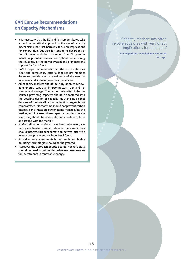### <span id="page-15-0"></span>**CAN Europe Recommendations on Capacity Mechanisms**

- It is necessary that the EU and its Member States take a much more critical approach to the use of capacity mechanisms; not just narrowly focus on implications for competition, but also for long-term decarbonisation. Stronger ambition is needed from EU governments to prioritise low-carbon options for ensuring the reliability of the power system and eliminate any support for fossil fuels.
- CAN Europe recommends that the EU establishes clear and compulsory criteria that require Member States to provide adequate evidence of the need to intervene and address power insufficiencies.
- All capacity markets should be fully open to renewable energy capacity, interconnectors, demand response and storage. The carbon intensity of the resources providing capacity should be factored into the possible design of capacity mechanisms so that delivery of the overall carbon reduction targets is not compromised. Mechanisms should not prevent carbon intensive and inflexible power plants from leaving the market, and in cases where capacity mechanisms are used, they should be reversible, and interfere as little as possible with the market;
- If after all other options have been exhausted, capacity mechanisms are still deemed necessary, they should integrate broader climate objectives, prioritise low-carbon power and exclude fossil fuels;
- Subsidies for environmentally unfriendly and highly polluting technologies should not be granted;
- Moreover the approach adopted to deliver reliability should not lead to unintended adverse consequences for investments in renewable energy.

#### "Capacity mechanisms often involve subsidies with very direct implications for taxpayers."

 **EU Competition Commissioner Margrethe Vestager**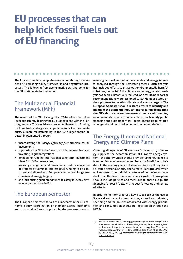## <span id="page-16-0"></span>**EU processes that can help kick fossil fuels out of EU financing**

The EU can stimulate comprehensive action through a number of its existing policy frameworks and negotiation processes. The following frameworks mark a starting point for the EU to stimulate further action:

 $\sim$ 

## The Multiannual Financial Framework (MFF)

 $\bullet$   $\bullet$ 

The review of the MFF, kicking off in 2016, offers the EU an ideal opportunity to bring the EU budget in line with the Paris Agreement. This would mean an immediate end to funding for fossil fuels and a greater imperative to tackle the climate crisis. Climate mainstreaming in the EU budget should be better implemented through:

- incorporating the *Energy Efficiency first* principle for all investments;
- supporting the EU to be "World no.1 in renewables" and investing in grid integration;
- embedding funding into national long-term investment plans for 100% renewables;
- asessing energy demand projections used for allocation of Projects of Common Interest (PCI) funding to be consistent and aligned with European medium and long-term climate and energy targets;
- and introducing guaranteed funds to catalyse locally driven energy transition in EU.

## The European Semester

The European Semester serves as a mechanism for EU economic policy coordination of Member States' economic and structural reforms. In principle, the progress towards

meeting national and collective climate and energy targets is analysed through the Semester process. Such analysis has included efforts to phase out environmentally harmful subsidies, but in 2015 the climate and energy related analysis has been substantially reduced. As a result, no report or recommendations were assigned to EU Member States on their progress to meeting climate and energy targets. **The European Semester should restore efforts to identify and highlight the economic implications for failing to meeting the EU's short-term and long-term climate ambition.** Key recommendations on economic actions, particularly public financing and support for fossil fuels, should be reinstated amongst the wider list of economic recommendations.

## The Energy Union and National Energy and Climate Plans

Covering all aspects of EU energy – from security of energy supply to the decarbonisation of Europe's energy system – the Energy Union should provide further guidance to Member States on measures to phase out fossil fuel subsidies. In the coming years, EU Member States will negotiate so-called National Energy and Climate Plans (NECPs) which will represent the individual efforts of countries to meet the EU's collective climate and energy goals.<sup>45</sup> Those plans should include policies and measures to phase out public financing for fossil fuels, with robust follow-up and review of efforts.

In order to monitor progress, key issues such as the use of State aid and capacity mechanisms, as well as budgetary spending and tax policies associated with energy production and consumption should be reported on through the NECPs.

<sup>45</sup> NECPs are part of the EU's energy governance pillar of the Energy Union, where countries will build on their existing climate plans and strategies to achieve more integrated action on climate and energy: [http://eur-lex.eu](http://eur-lex.europa.eu/resource.html?uri=cellar:ebdf266c-8eab-11e5-983e-01aa75ed71a1.0008.03/DOC_5&format=HTML&lang=EN&parentUrn=CELEX:52015DC0572)[ropa.eu/resource.html?uri=cellar:ebdf266c-8eab-11e5-983e-01aa75e](http://eur-lex.europa.eu/resource.html?uri=cellar:ebdf266c-8eab-11e5-983e-01aa75ed71a1.0008.03/DOC_5&format=HTML&lang=EN&parentUrn=CELEX:52015DC0572)[d71a1.0008.03/DOC\\_5&format=HTML&lang=EN&parentUrn=CELEX](http://eur-lex.europa.eu/resource.html?uri=cellar:ebdf266c-8eab-11e5-983e-01aa75ed71a1.0008.03/DOC_5&format=HTML&lang=EN&parentUrn=CELEX:52015DC0572)- [:52015DC0572](http://eur-lex.europa.eu/resource.html?uri=cellar:ebdf266c-8eab-11e5-983e-01aa75ed71a1.0008.03/DOC_5&format=HTML&lang=EN&parentUrn=CELEX:52015DC0572)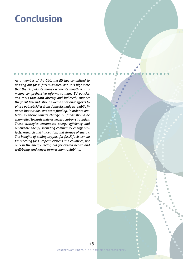## <span id="page-17-0"></span>**Conclusion**

*As a member of the G20, the EU has committed to phasing out fossil fuel subsidies, and it is high time that the EU puts its money where its mouth is. This means comprehensive reforms to many EU policies and tools that both directly and indirectly support the fossil fuel industry, as well as national efforts to phase out subsidies from domestic budgets, public finance institutions, and state funding. In order to ambitiously tackle climate change, EU funds should be channelled towards wide-scale zero carbon strategies. These strategies encompass energy efficiency and renewable energy, including community energy projects, research and innovation, and storage of energy. The benefits of ending support for fossil fuels can be far-reaching for European citizens and countries; not only in the energy sector, but for overall health and well-being, and longer term economic stability.*